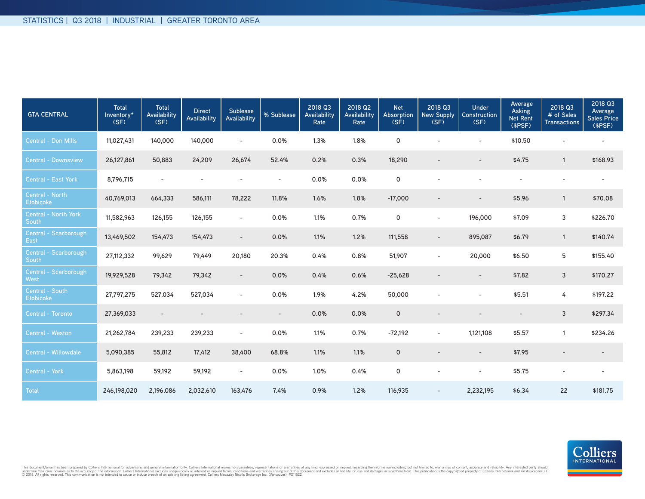| <b>GTA CENTRAL</b>                   | <b>Total</b><br>Inventory*<br>(SF) | <b>Total</b><br>Availability<br>(SF) | <b>Direct</b><br>Availability | <b>Sublease</b><br>Availability | % Sublease               | 2018 Q3<br>Availability<br>Rate | 2018 Q2<br>Availability<br>Rate | <b>Net</b><br>Absorption<br>(SF) | 2018 Q3<br>New Supply<br>(SF) | Under<br>Construction<br>(SF) | Average<br>Asking<br><b>Net Rent</b><br>(SPSF) | 2018 Q3<br># of Sales<br><b>Transactions</b> | 2018 Q3<br>Average<br>Sales Price<br>(SPSF) |
|--------------------------------------|------------------------------------|--------------------------------------|-------------------------------|---------------------------------|--------------------------|---------------------------------|---------------------------------|----------------------------------|-------------------------------|-------------------------------|------------------------------------------------|----------------------------------------------|---------------------------------------------|
| <b>Central - Don Mills</b>           | 11,027,431                         | 140,000                              | 140,000                       | $\overline{\phantom{a}}$        | 0.0%                     | 1.3%                            | 1.8%                            | $\mathsf{o}$                     |                               | $\sim$                        | \$10.50                                        |                                              |                                             |
| <b>Central - Downsview</b>           | 26,127,861                         | 50,883                               | 24,209                        | 26,674                          | 52.4%                    | 0.2%                            | 0.3%                            | 18,290                           |                               |                               | \$4.75                                         | $\mathbf{1}$                                 | \$168.93                                    |
| Central - East York                  | 8,796,715                          | $\overline{\phantom{a}}$             |                               |                                 | $\overline{\phantom{a}}$ | 0.0%                            | 0.0%                            | 0                                |                               |                               |                                                |                                              |                                             |
| Central - North<br><b>Etobicoke</b>  | 40,769,013                         | 664,333                              | 586,111                       | 78,222                          | 11.8%                    | 1.6%                            | 1.8%                            | $-17,000$                        |                               |                               | \$5.96                                         | $\mathbf{1}$                                 | \$70.08                                     |
| <b>Central - North York</b><br>South | 11,582,963                         | 126,155                              | 126,155                       | $\overline{\phantom{a}}$        | 0.0%                     | 1.1%                            | 0.7%                            | 0                                | $\sim$                        | 196,000                       | \$7.09                                         | 3                                            | \$226.70                                    |
| Central - Scarborough<br>East        | 13,469,502                         | 154,473                              | 154,473                       | $\overline{\phantom{a}}$        | 0.0%                     | 1.1%                            | 1.2%                            | 111,558                          | $\overline{\phantom{a}}$      | 895,087                       | \$6.79                                         | $\mathbf{1}$                                 | \$140.74                                    |
| Central - Scarborough<br>South       | 27,112,332                         | 99,629                               | 79,449                        | 20,180                          | 20.3%                    | 0.4%                            | 0.8%                            | 51,907                           | $\sim$                        | 20,000                        | \$6.50                                         | 5                                            | \$155.40                                    |
| Central - Scarborough<br>West        | 19,929,528                         | 79,342                               | 79,342                        | $\overline{\phantom{a}}$        | 0.0%                     | 0.4%                            | 0.6%                            | $-25,628$                        |                               |                               | \$7.82                                         | 3                                            | \$170.27                                    |
| Central - South<br><b>Etobicoke</b>  | 27,797,275                         | 527,034                              | 527,034                       | $\overline{\phantom{a}}$        | 0.0%                     | 1.9%                            | 4.2%                            | 50,000                           |                               |                               | \$5.51                                         | 4                                            | \$197.22                                    |
| Central - Toronto                    | 27,369,033                         |                                      |                               |                                 |                          | 0.0%                            | 0.0%                            | $\mathbf 0$                      |                               |                               |                                                | 3                                            | \$297.34                                    |
| Central - Weston                     | 21,262,784                         | 239,233                              | 239,233                       | $\sim$                          | 0.0%                     | 1.1%                            | 0.7%                            | $-72,192$                        | $\sim$                        | 1,121,108                     | \$5.57                                         | $\mathbf{1}$                                 | \$234.26                                    |
| Central - Willowdale                 | 5,090,385                          | 55,812                               | 17,412                        | 38,400                          | 68.8%                    | 1.1%                            | 1.1%                            | $\mathbf 0$                      |                               | $\overline{\phantom{a}}$      | \$7.95                                         |                                              | $\overline{\phantom{a}}$                    |
| Central - York                       | 5,863,198                          | 59,192                               | 59,192                        | $\overline{\phantom{a}}$        | 0.0%                     | 1.0%                            | 0.4%                            | $\mathsf{o}$                     |                               | $\overline{\phantom{a}}$      | \$5.75                                         | $\overline{\phantom{a}}$                     | $\overline{\phantom{a}}$                    |
| <b>Total</b>                         | 246,198,020                        | 2,196,086                            | 2,032,610                     | 163,476                         | 7.4%                     | 0.9%                            | 1.2%                            | 116,935                          |                               | 2,232,195                     | \$6.34                                         | 22                                           | \$181.75                                    |

This document/email has been prepared by Colliers International for advertising and general information only. Colliers International makes no guarantees, representations or warranties of any kind, expressed or implied, reg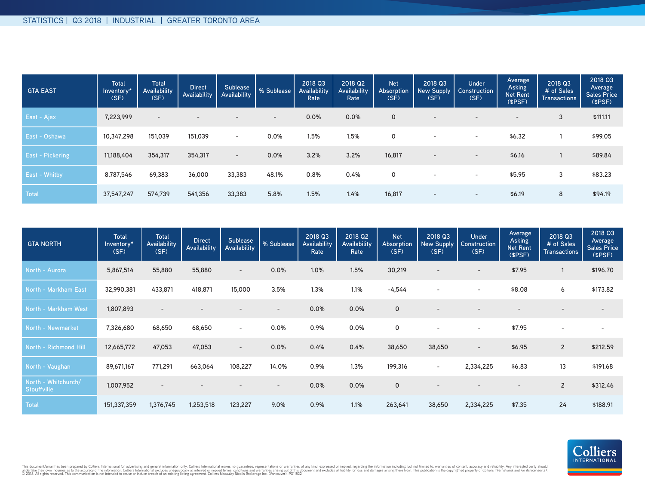| <b>GTA EAST</b>         | <b>Total</b><br>Inventory*<br>(SF) | <b>Total</b><br>Availability<br>(SF) | <b>Direct</b><br>Availability | Sublease<br>Availability | % Sublease | 2018 Q3<br>Availability<br>Rate | 2018 Q2<br>Availability<br>Rate | <b>Net</b><br><b>Absorption</b><br>(SF) | 2018 Q3<br>New Supply  <br>(SF) | <b>Under</b><br>Construction<br>(SF) | Average<br><b>Asking</b><br><b>Net Rent</b><br>(\$PSF) | 2018 Q3<br># of Sales<br><b>Transactions</b> | 2018 Q3<br>Average<br><b>Sales Price</b><br>(SPSF) |
|-------------------------|------------------------------------|--------------------------------------|-------------------------------|--------------------------|------------|---------------------------------|---------------------------------|-----------------------------------------|---------------------------------|--------------------------------------|--------------------------------------------------------|----------------------------------------------|----------------------------------------------------|
| East - Ajax             | 7,223,999                          | $\overline{\phantom{a}}$             | $\overline{\phantom{0}}$      | $\sim$                   | $\sim$     | 0.0%                            | 0.0%                            | 0                                       | $\overline{\phantom{a}}$        | $\overline{\phantom{a}}$             | $\overline{\phantom{a}}$                               | 3                                            | \$111.11                                           |
| East - Oshawa           | 10,347,298                         | 151,039                              | 151,039                       | $\sim$                   | 0.0%       | 1.5%                            | 1.5%                            | 0                                       | $\overline{\phantom{a}}$        | $\overline{\phantom{0}}$             | \$6.32                                                 |                                              | \$99.05                                            |
| <b>East - Pickering</b> | 11,188,404                         | 354,317                              | 354,317                       | $\sim$                   | 0.0%       | 3.2%                            | 3.2%                            | 16,817                                  | $\overline{\phantom{a}}$        | $\overline{\phantom{a}}$             | \$6.16                                                 |                                              | \$89.84                                            |
| East - Whitby           | 8,787,546                          | 69,383                               | 36,000                        | 33,383                   | 48.1%      | 0.8%                            | 0.4%                            | 0                                       | $\overline{\phantom{a}}$        | $\overline{\phantom{0}}$             | \$5.95                                                 | 3                                            | \$83.23                                            |
| Total                   | 37,547,247                         | 574,739                              | 541,356                       | 33,383                   | 5.8%       | 1.5%                            | 1.4%                            | 16,817                                  | $\overline{\phantom{a}}$        | $-$                                  | \$6.19                                                 | 8                                            | \$94.19                                            |

| <b>GTA NORTH</b>                          | <b>Total</b><br>Inventory*<br>(SF) | <b>Total</b><br>Availability<br>(SF) | <b>Direct</b><br>Availability | Sublease<br>Availability | % Sublease               | 2018 Q3<br>Availability<br>Rate | 2018 Q2<br>Availability<br>Rate | <b>Net</b><br>Absorption<br>(SF) | 2018 Q3<br>New Supply<br>(SF) | <b>Under</b><br>Construction<br>(SF) | Average<br><b>Asking</b><br><b>Net Rent</b><br>(SPSF) | 2018 Q3<br># of Sales<br><b>Transactions</b> | 2018 Q3<br>Average<br><b>Sales Price</b><br>(SPSF) |
|-------------------------------------------|------------------------------------|--------------------------------------|-------------------------------|--------------------------|--------------------------|---------------------------------|---------------------------------|----------------------------------|-------------------------------|--------------------------------------|-------------------------------------------------------|----------------------------------------------|----------------------------------------------------|
| North - Aurora                            | 5,867,514                          | 55,880                               | 55,880                        | $\sim$                   | 0.0%                     | 1.0%                            | 1.5%                            | 30,219                           | $\overline{\phantom{a}}$      | $\overline{\phantom{0}}$             | \$7.95                                                |                                              | \$196.70                                           |
| North - Markham East                      | 32,990,381                         | 433,871                              | 418,871                       | 15,000                   | 3.5%                     | 1.3%                            | 1.1%                            | $-4,544$                         |                               | $\overline{\phantom{a}}$             | \$8.08                                                | 6                                            | \$173.82                                           |
| North - Markham West                      | 1,807,893                          | $\overline{\phantom{a}}$             |                               |                          | $\overline{\phantom{a}}$ | 0.0%                            | 0.0%                            | $\mathsf{O}$                     |                               |                                      |                                                       |                                              |                                                    |
| North - Newmarket                         | 7,326,680                          | 68,650                               | 68,650                        | $\overline{\phantom{a}}$ | 0.0%                     | 0.9%                            | 0.0%                            | 0                                |                               | $\overline{\phantom{a}}$             | \$7.95                                                | ۰                                            |                                                    |
| North - Richmond Hill                     | 12,665,772                         | 47,053                               | 47,053                        | $\overline{\phantom{a}}$ | 0.0%                     | 0.4%                            | 0.4%                            | 38,650                           | 38,650                        | $\overline{\phantom{a}}$             | \$6.95                                                | $\overline{2}$                               | \$212.59                                           |
| North - Vaughan                           | 89,671,167                         | 771,291                              | 663,064                       | 108,227                  | 14.0%                    | 0.9%                            | 1.3%                            | 199,316                          | $\sim$                        | 2,334,225                            | \$6.83                                                | 13                                           | \$191.68                                           |
| North - Whitchurch/<br><b>Stouffville</b> | 1,007,952                          | $\qquad \qquad -$                    |                               |                          | $\overline{\phantom{a}}$ | 0.0%                            | 0.0%                            | $\circ$                          |                               |                                      |                                                       | $\overline{2}$                               | \$312.46                                           |
| Total                                     | 151,337,359                        | 1,376,745                            | 1,253,518                     | 123,227                  | 9.0%                     | 0.9%                            | 1.1%                            | 263,641                          | 38,650                        | 2,334,225                            | \$7.35                                                | 24                                           | \$188.91                                           |



This document/email has been prepared by Colliers International for advertising and general information only. Colliers International makes no guarantees, representations or warranties of any kind, expressed or implied, reg